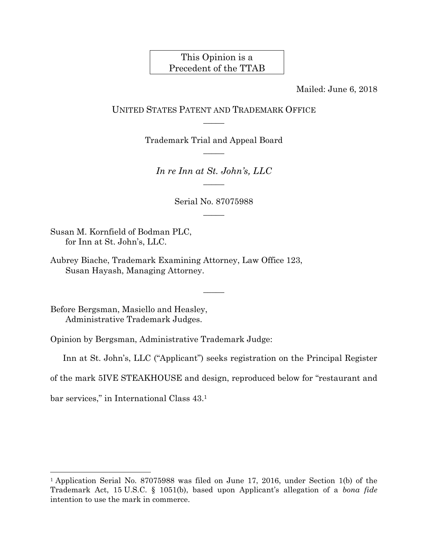# This Opinion is a Precedent of the TTAB

Mailed: June 6, 2018

# UNITED STATES PATENT AND TRADEMARK OFFICE  $\overline{\phantom{a}}$

Trademark Trial and Appeal Board  $\overline{\phantom{a}}$ 

*In re Inn at St. John's, LLC*   $\overline{\phantom{a}}$ 

> Serial No. 87075988  $\overline{\phantom{a}}$

Susan M. Kornfield of Bodman PLC, for Inn at St. John's, LLC.

Aubrey Biache, Trademark Examining Attorney, Law Office 123, Susan Hayash, Managing Attorney.

Before Bergsman, Masiello and Heasley, Administrative Trademark Judges.

Opinion by Bergsman, Administrative Trademark Judge:

Inn at St. John's, LLC ("Applicant") seeks registration on the Principal Register

 $\overline{\phantom{a}}$ 

of the mark 5IVE STEAKHOUSE and design, reproduced below for "restaurant and

bar services," in International Class 43.1

l

<sup>1</sup> Application Serial No. 87075988 was filed on June 17, 2016, under Section 1(b) of the Trademark Act, 15 U.S.C. § 1051(b), based upon Applicant's allegation of a *bona fide* intention to use the mark in commerce.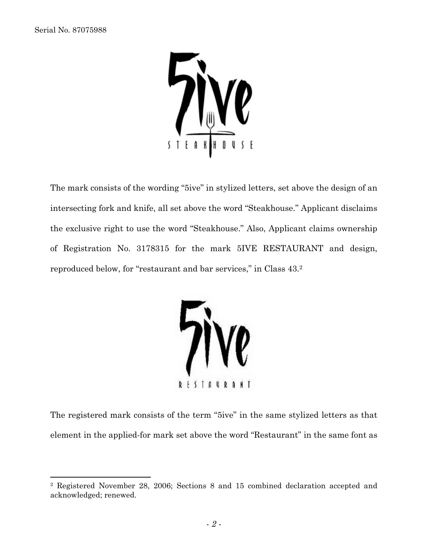$\overline{a}$ 



The mark consists of the wording "5ive" in stylized letters, set above the design of an intersecting fork and knife, all set above the word "Steakhouse." Applicant disclaims the exclusive right to use the word "Steakhouse." Also, Applicant claims ownership of Registration No. 3178315 for the mark 5IVE RESTAURANT and design, reproduced below, for "restaurant and bar services," in Class 43.2



The registered mark consists of the term "5ive" in the same stylized letters as that element in the applied-for mark set above the word "Restaurant" in the same font as

<sup>2</sup> Registered November 28, 2006; Sections 8 and 15 combined declaration accepted and acknowledged; renewed.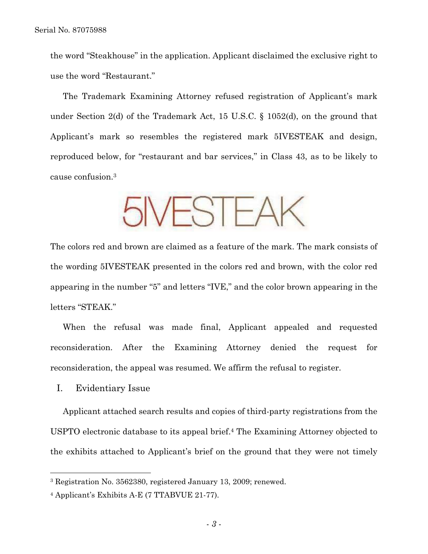the word "Steakhouse" in the application. Applicant disclaimed the exclusive right to use the word "Restaurant."

The Trademark Examining Attorney refused registration of Applicant's mark under Section 2(d) of the Trademark Act, 15 U.S.C. § 1052(d), on the ground that Applicant's mark so resembles the registered mark 5IVESTEAK and design, reproduced below, for "restaurant and bar services," in Class 43, as to be likely to cause confusion.3

**NESTEAK** 

The colors red and brown are claimed as a feature of the mark. The mark consists of the wording 5IVESTEAK presented in the colors red and brown, with the color red appearing in the number "5" and letters "IVE," and the color brown appearing in the letters "STEAK."

When the refusal was made final, Applicant appealed and requested reconsideration. After the Examining Attorney denied the request for reconsideration, the appeal was resumed. We affirm the refusal to register.

I. Evidentiary Issue

 $\overline{a}$ 

Applicant attached search results and copies of third-party registrations from the USPTO electronic database to its appeal brief.4 The Examining Attorney objected to the exhibits attached to Applicant's brief on the ground that they were not timely

<sup>3</sup> Registration No. 3562380, registered January 13, 2009; renewed.

<sup>4</sup> Applicant's Exhibits A-E (7 TTABVUE 21-77).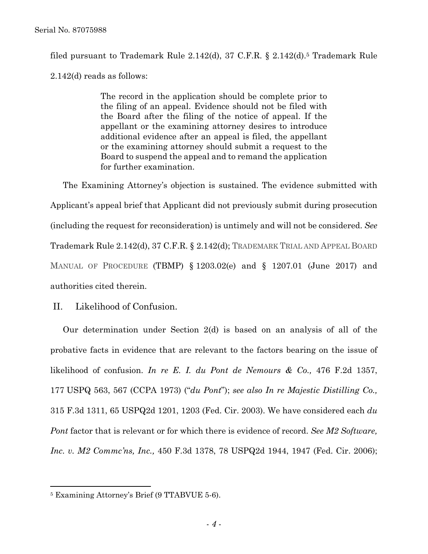filed pursuant to Trademark Rule  $2.142(d)$ , 37 C.F.R. §  $2.142(d)$ .<sup>5</sup> Trademark Rule 2.142(d) reads as follows:

> The record in the application should be complete prior to the filing of an appeal. Evidence should not be filed with the Board after the filing of the notice of appeal. If the appellant or the examining attorney desires to introduce additional evidence after an appeal is filed, the appellant or the examining attorney should submit a request to the Board to suspend the appeal and to remand the application for further examination.

The Examining Attorney's objection is sustained. The evidence submitted with Applicant's appeal brief that Applicant did not previously submit during prosecution (including the request for reconsideration) is untimely and will not be considered. *See* Trademark Rule 2.142(d), 37 C.F.R. § 2.142(d); TRADEMARK TRIAL AND APPEAL BOARD MANUAL OF PROCEDURE (TBMP) § 1203.02(e) and § 1207.01 (June 2017) and authorities cited therein.

II. Likelihood of Confusion.

Our determination under Section 2(d) is based on an analysis of all of the probative facts in evidence that are relevant to the factors bearing on the issue of likelihood of confusion. *In re E. I. du Pont de Nemours & Co.,* 476 F.2d 1357, 177 USPQ 563, 567 (CCPA 1973) ("*du Pont*"); *see also In re Majestic Distilling Co.,*  315 F.3d 1311, 65 USPQ2d 1201, 1203 (Fed. Cir. 2003). We have considered each *du Pont* factor that is relevant or for which there is evidence of record. *See M2 Software, Inc. v. M2 Commc'ns, Inc.,* 450 F.3d 1378, 78 USPQ2d 1944, 1947 (Fed. Cir. 2006);

1

<sup>5</sup> Examining Attorney's Brief (9 TTABVUE 5-6).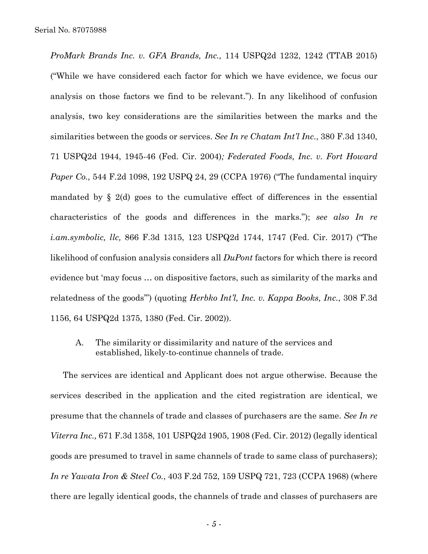*ProMark Brands Inc. v. GFA Brands, Inc.,* 114 USPQ2d 1232, 1242 (TTAB 2015) ("While we have considered each factor for which we have evidence, we focus our analysis on those factors we find to be relevant."). In any likelihood of confusion analysis, two key considerations are the similarities between the marks and the similarities between the goods or services. *See In re Chatam Int'l Inc*., 380 F.3d 1340, 71 USPQ2d 1944, 1945-46 (Fed. Cir. 2004)*; Federated Foods, Inc. v. Fort Howard Paper Co.,* 544 F.2d 1098, 192 USPQ 24, 29 (CCPA 1976) ("The fundamental inquiry mandated by  $\S$  2(d) goes to the cumulative effect of differences in the essential characteristics of the goods and differences in the marks."); *see also In re i.am.symbolic, llc,* 866 F.3d 1315, 123 USPQ2d 1744, 1747 (Fed. Cir. 2017) ("The likelihood of confusion analysis considers all *DuPont* factors for which there is record evidence but 'may focus … on dispositive factors, such as similarity of the marks and relatedness of the goods'") (quoting *Herbko Int'l, Inc. v. Kappa Books, Inc.*, 308 F.3d 1156, 64 USPQ2d 1375, 1380 (Fed. Cir. 2002)).

A. The similarity or dissimilarity and nature of the services and established, likely-to-continue channels of trade.

The services are identical and Applicant does not argue otherwise. Because the services described in the application and the cited registration are identical, we presume that the channels of trade and classes of purchasers are the same. *See In re Viterra Inc.,* 671 F.3d 1358, 101 USPQ2d 1905, 1908 (Fed. Cir. 2012) (legally identical goods are presumed to travel in same channels of trade to same class of purchasers); *In re Yawata Iron & Steel Co.*, 403 F.2d 752, 159 USPQ 721, 723 (CCPA 1968) (where there are legally identical goods, the channels of trade and classes of purchasers are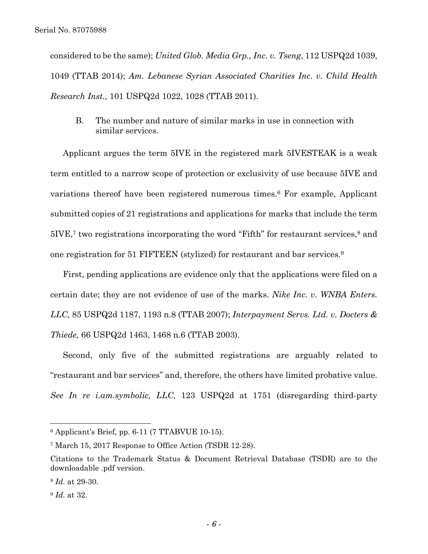considered to be the same); *United Glob. Media Grp., Inc. v. Tseng*, 112 USPQ2d 1039, 1049 (TTAB 2014); *Am. Lebanese Syrian Associated Charities Inc. v. Child Health Research Inst.,* 101 USPQ2d 1022, 1028 (TTAB 2011).

B. The number and nature of similar marks in use in connection with similar services.

Applicant argues the term 5IVE in the registered mark 5IVESTEAK is a weak term entitled to a narrow scope of protection or exclusivity of use because 5IVE and variations thereof have been registered numerous times.6 For example, Applicant submitted copies of 21 registrations and applications for marks that include the term 5IVE,7 two registrations incorporating the word "Fifth" for restaurant services,8 and one registration for 51 FIFTEEN (stylized) for restaurant and bar services.9

First, pending applications are evidence only that the applications were filed on a certain date; they are not evidence of use of the marks. *Nike Inc. v. WNBA Enters. LLC,* 85 USPQ2d 1187, 1193 n.8 (TTAB 2007); *Interpayment Servs. Ltd. v. Docters & Thiede,* 66 USPQ2d 1463, 1468 n.6 (TTAB 2003).

Second, only five of the submitted registrations are arguably related to "restaurant and bar services" and, therefore, the others have limited probative value. *See In re i.am.symbolic, LLC,* 123 USPQ2d at 1751 (disregarding third-party

1

 $6$  Applicant's Brief, pp. 6-11 (7 TTABVUE 10-15).

<sup>7</sup> March 15, 2017 Response to Office Action (TSDR 12-28).

Citations to the Trademark Status & Document Retrieval Database (TSDR) are to the downloadable .pdf version.

<sup>8</sup> *Id.* at 29-30.

<sup>9</sup> *Id.* at 32.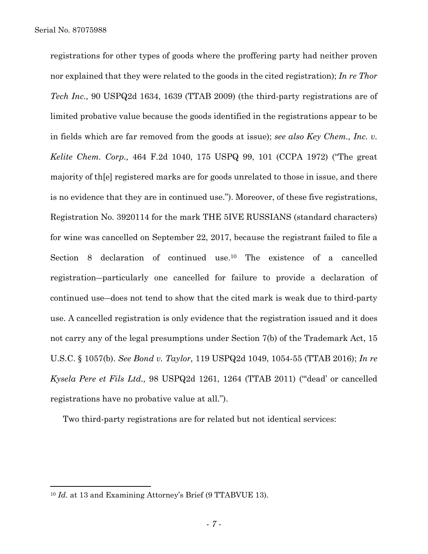registrations for other types of goods where the proffering party had neither proven nor explained that they were related to the goods in the cited registration); *In re Thor Tech Inc.,* 90 USPQ2d 1634, 1639 (TTAB 2009) (the third-party registrations are of limited probative value because the goods identified in the registrations appear to be in fields which are far removed from the goods at issue); *see also Key Chem., Inc. v. Kelite Chem. Corp.,* 464 F.2d 1040, 175 USPQ 99, 101 (CCPA 1972) ("The great majority of th[e] registered marks are for goods unrelated to those in issue, and there is no evidence that they are in continued use."). Moreover, of these five registrations, Registration No. 3920114 for the mark THE 5IVE RUSSIANS (standard characters) for wine was cancelled on September 22, 2017, because the registrant failed to file a Section 8 declaration of continued use.10 The existence of a cancelled registration―particularly one cancelled for failure to provide a declaration of continued use―does not tend to show that the cited mark is weak due to third-party use. A cancelled registration is only evidence that the registration issued and it does not carry any of the legal presumptions under Section 7(b) of the Trademark Act, 15 U.S.C. § 1057(b). *See Bond v. Taylor,* 119 USPQ2d 1049, 1054-55 (TTAB 2016); *In re Kysela Pere et Fils Ltd.,* 98 USPQ2d 1261, 1264 (TTAB 2011) ("'dead' or cancelled registrations have no probative value at all.").

Two third-party registrations are for related but not identical services:

 $\overline{a}$ 

<sup>&</sup>lt;sup>10</sup> *Id.* at 13 and Examining Attorney's Brief (9 TTABVUE 13).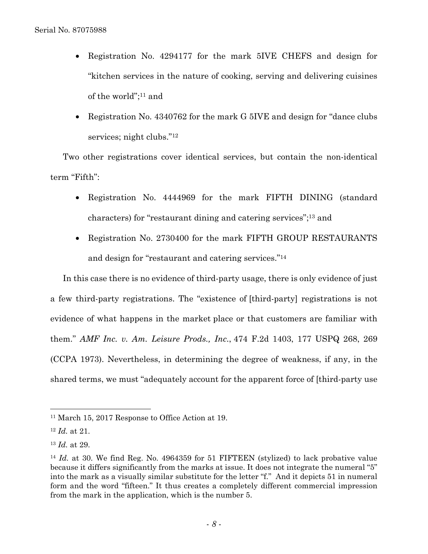- Registration No. 4294177 for the mark 5IVE CHEFS and design for "kitchen services in the nature of cooking, serving and delivering cuisines of the world";11 and
- Registration No. 4340762 for the mark G 5IVE and design for "dance clubs services; night clubs."<sup>12</sup>

Two other registrations cover identical services, but contain the non-identical term "Fifth":

- Registration No. 4444969 for the mark FIFTH DINING (standard characters) for "restaurant dining and catering services";13 and
- Registration No. 2730400 for the mark FIFTH GROUP RESTAURANTS and design for "restaurant and catering services."14

In this case there is no evidence of third-party usage, there is only evidence of just a few third-party registrations. The "existence of [third-party] registrations is not evidence of what happens in the market place or that customers are familiar with them." *AMF Inc. v. Am. Leisure Prods., Inc*., 474 F.2d 1403, 177 USPQ 268, 269 (CCPA 1973). Nevertheless, in determining the degree of weakness, if any, in the shared terms, we must "adequately account for the apparent force of [third-party use

 $\overline{a}$ 

<sup>11</sup> March 15, 2017 Response to Office Action at 19.

<sup>12</sup> *Id.* at 21.

<sup>13</sup> *Id.* at 29.

<sup>&</sup>lt;sup>14</sup> *Id.* at 30. We find Reg. No. 4964359 for 51 FIFTEEN (stylized) to lack probative value because it differs significantly from the marks at issue. It does not integrate the numeral "5" into the mark as a visually similar substitute for the letter "f." And it depicts 51 in numeral form and the word "fifteen." It thus creates a completely different commercial impression from the mark in the application, which is the number 5.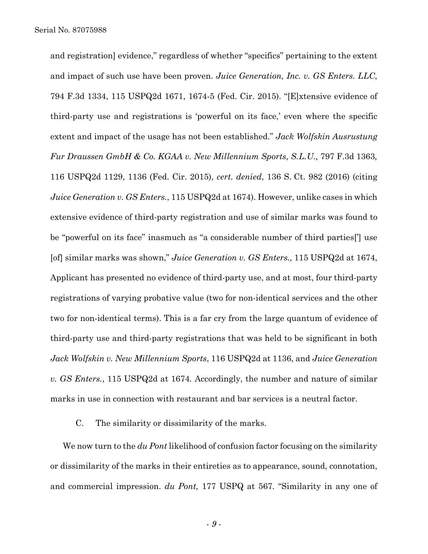and registration] evidence," regardless of whether "specifics" pertaining to the extent and impact of such use have been proven. *Juice Generation, Inc. v. GS Enters. LLC*, 794 F.3d 1334, 115 USPQ2d 1671, 1674-5 (Fed. Cir. 2015). "[E]xtensive evidence of third-party use and registrations is 'powerful on its face,' even where the specific extent and impact of the usage has not been established." *Jack Wolfskin Ausrustung Fur Draussen GmbH & Co. KGAA v. New Millennium Sports, S.L.U.,* 797 F.3d 1363*,*  116 USPQ2d 1129, 1136 (Fed. Cir. 2015), *cert. denied*, 136 S. Ct. 982 (2016) (citing *Juice Generation v. GS Enters.*, 115 USPQ2d at 1674). However, unlike cases in which extensive evidence of third-party registration and use of similar marks was found to be "powerful on its face" inasmuch as "a considerable number of third parties['] use [of] similar marks was shown," *Juice Generation v. GS Enters.,* 115 USPQ2d at 1674, Applicant has presented no evidence of third-party use, and at most, four third-party registrations of varying probative value (two for non-identical services and the other two for non-identical terms). This is a far cry from the large quantum of evidence of third-party use and third-party registrations that was held to be significant in both *Jack Wolfskin v. New Millennium Sports*, 116 USPQ2d at 1136, and *Juice Generation v. GS Enters.*, 115 USPQ2d at 1674*.* Accordingly, the number and nature of similar marks in use in connection with restaurant and bar services is a neutral factor.

C. The similarity or dissimilarity of the marks.

We now turn to the *du Pont* likelihood of confusion factor focusing on the similarity or dissimilarity of the marks in their entireties as to appearance, sound, connotation, and commercial impression. *du Pont,* 177 USPQ at 567*.* "Similarity in any one of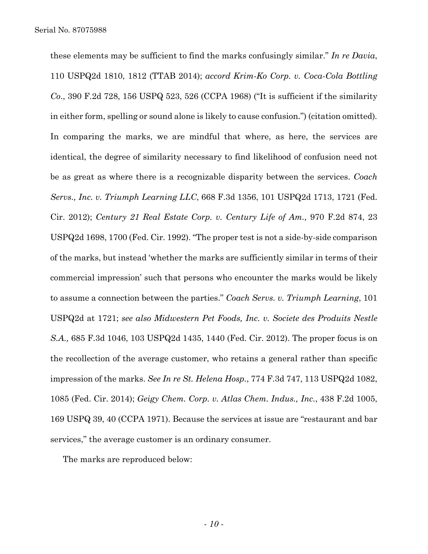these elements may be sufficient to find the marks confusingly similar." *In re Davia*, 110 USPQ2d 1810, 1812 (TTAB 2014); *accord Krim-Ko Corp. v. Coca-Cola Bottling Co*., 390 F.2d 728, 156 USPQ 523, 526 (CCPA 1968) ("It is sufficient if the similarity in either form, spelling or sound alone is likely to cause confusion.") (citation omitted)*.* In comparing the marks, we are mindful that where, as here, the services are identical, the degree of similarity necessary to find likelihood of confusion need not be as great as where there is a recognizable disparity between the services. *Coach Servs., Inc. v. Triumph Learning LLC*, 668 F.3d 1356, 101 USPQ2d 1713, 1721 (Fed. Cir. 2012); *Century 21 Real Estate Corp. v. Century Life of Am.,* 970 F.2d 874, 23 USPQ2d 1698, 1700 (Fed. Cir. 1992). "The proper test is not a side-by-side comparison of the marks, but instead 'whether the marks are sufficiently similar in terms of their commercial impression' such that persons who encounter the marks would be likely to assume a connection between the parties." *Coach Servs. v. Triumph Learning*, 101 USPQ2d at 1721; *see also Midwestern Pet Foods, Inc. v. Societe des Produits Nestle S.A.,* 685 F.3d 1046, 103 USPQ2d 1435, 1440 (Fed. Cir. 2012). The proper focus is on the recollection of the average customer, who retains a general rather than specific impression of the marks. *See In re St. Helena Hosp.*, 774 F.3d 747, 113 USPQ2d 1082, 1085 (Fed. Cir. 2014); *Geigy Chem. Corp. v. Atlas Chem. Indus., Inc.*, 438 F.2d 1005, 169 USPQ 39, 40 (CCPA 1971). Because the services at issue are "restaurant and bar services," the average customer is an ordinary consumer.

The marks are reproduced below: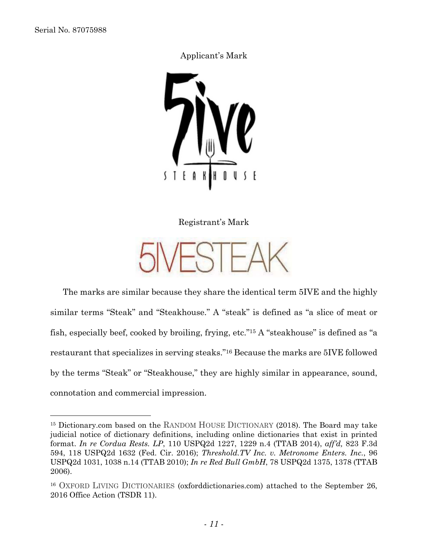$\overline{a}$ 

## Applicant's Mark



Registrant's Mark

The marks are similar because they share the identical term 5IVE and the highly similar terms "Steak" and "Steakhouse." A "steak" is defined as "a slice of meat or fish, especially beef, cooked by broiling, frying, etc."15 A "steakhouse" is defined as "a restaurant that specializes in serving steaks."16 Because the marks are 5IVE followed by the terms "Steak" or "Steakhouse," they are highly similar in appearance, sound, connotation and commercial impression.

<sup>15</sup> Dictionary.com based on the RANDOM HOUSE DICTIONARY (2018). The Board may take judicial notice of dictionary definitions, including online dictionaries that exist in printed format. *In re Cordua Rests. LP*, 110 USPQ2d 1227, 1229 n.4 (TTAB 2014), *aff'd,* 823 F.3d 594, 118 USPQ2d 1632 (Fed. Cir. 2016); *Threshold.TV Inc. v. Metronome Enters. Inc.*, 96 USPQ2d 1031, 1038 n.14 (TTAB 2010); *In re Red Bull GmbH*, 78 USPQ2d 1375, 1378 (TTAB 2006).

<sup>16</sup> OXFORD LIVING DICTIONARIES (oxforddictionaries.com) attached to the September 26, 2016 Office Action (TSDR 11).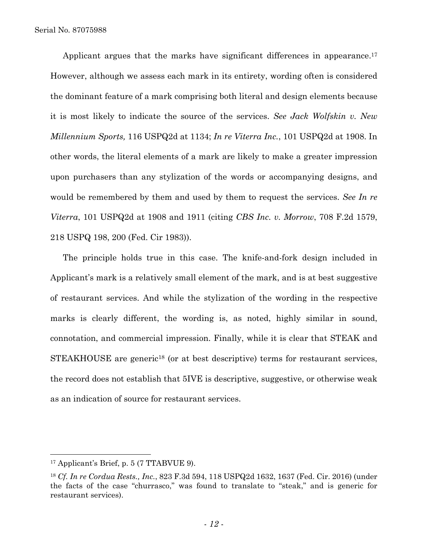Applicant argues that the marks have significant differences in appearance.<sup>17</sup> However, although we assess each mark in its entirety, wording often is considered the dominant feature of a mark comprising both literal and design elements because it is most likely to indicate the source of the services. *See Jack Wolfskin v. New Millennium Sports,* 116 USPQ2d at 1134; *In re Viterra Inc.*, 101 USPQ2d at 1908. In other words, the literal elements of a mark are likely to make a greater impression upon purchasers than any stylization of the words or accompanying designs, and would be remembered by them and used by them to request the services. *See In re Viterra*, 101 USPQ2d at 1908 and 1911 (citing *CBS Inc. v. Morrow*, 708 F.2d 1579, 218 USPQ 198, 200 (Fed. Cir 1983)).

The principle holds true in this case. The knife-and-fork design included in Applicant's mark is a relatively small element of the mark, and is at best suggestive of restaurant services. And while the stylization of the wording in the respective marks is clearly different, the wording is, as noted, highly similar in sound, connotation, and commercial impression. Finally, while it is clear that STEAK and STEAKHOUSE are generic<sup>18</sup> (or at best descriptive) terms for restaurant services, the record does not establish that 5IVE is descriptive, suggestive, or otherwise weak as an indication of source for restaurant services.

 $\overline{a}$ 

<sup>17</sup> Applicant's Brief, p. 5 (7 TTABVUE 9).

<sup>18</sup> *Cf. In re Cordua Rests., Inc.*, 823 F.3d 594, 118 USPQ2d 1632, 1637 (Fed. Cir. 2016) (under the facts of the case "churrasco," was found to translate to "steak," and is generic for restaurant services).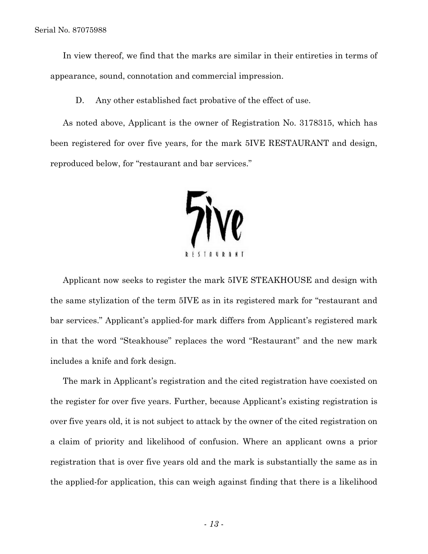Serial No. 87075988

In view thereof, we find that the marks are similar in their entireties in terms of appearance, sound, connotation and commercial impression.

D. Any other established fact probative of the effect of use.

As noted above, Applicant is the owner of Registration No. 3178315, which has been registered for over five years, for the mark 5IVE RESTAURANT and design, reproduced below, for "restaurant and bar services."



Applicant now seeks to register the mark 5IVE STEAKHOUSE and design with the same stylization of the term 5IVE as in its registered mark for "restaurant and bar services." Applicant's applied-for mark differs from Applicant's registered mark in that the word "Steakhouse" replaces the word "Restaurant" and the new mark includes a knife and fork design.

The mark in Applicant's registration and the cited registration have coexisted on the register for over five years. Further, because Applicant's existing registration is over five years old, it is not subject to attack by the owner of the cited registration on a claim of priority and likelihood of confusion. Where an applicant owns a prior registration that is over five years old and the mark is substantially the same as in the applied-for application, this can weigh against finding that there is a likelihood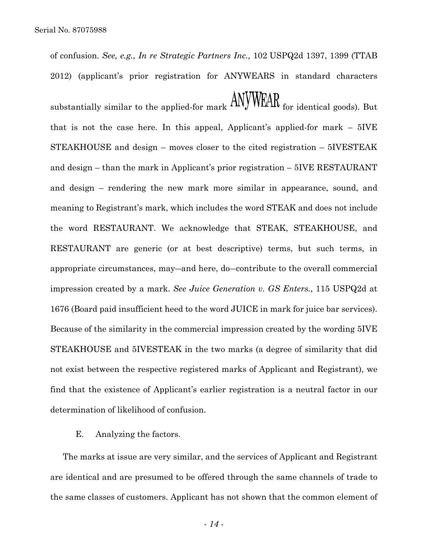of confusion. *See, e.g.*, *In re Strategic Partners Inc.,* 102 USPQ2d 1397, 1399 (TTAB 2012) (applicant's prior registration for ANYWEARS in standard characters

substantially similar to the applied-for mark  $\Delta N VWRAR$  for identical goods). But that is not the case here. In this appeal, Applicant's applied-for mark – 5IVE STEAKHOUSE and design – moves closer to the cited registration – 5IVESTEAK and design – than the mark in Applicant's prior registration – 5IVE RESTAURANT and design – rendering the new mark more similar in appearance, sound, and meaning to Registrant's mark, which includes the word STEAK and does not include the word RESTAURANT. We acknowledge that STEAK, STEAKHOUSE, and RESTAURANT are generic (or at best descriptive) terms, but such terms, in appropriate circumstances, may―and here, do―contribute to the overall commercial impression created by a mark. *See Juice Generation v. GS Enters.*, 115 USPQ2d at 1676 (Board paid insufficient heed to the word JUICE in mark for juice bar services). Because of the similarity in the commercial impression created by the wording 5IVE STEAKHOUSE and 5IVESTEAK in the two marks (a degree of similarity that did not exist between the respective registered marks of Applicant and Registrant), we find that the existence of Applicant's earlier registration is a neutral factor in our determination of likelihood of confusion.

### E. Analyzing the factors.

The marks at issue are very similar, and the services of Applicant and Registrant are identical and are presumed to be offered through the same channels of trade to the same classes of customers. Applicant has not shown that the common element of